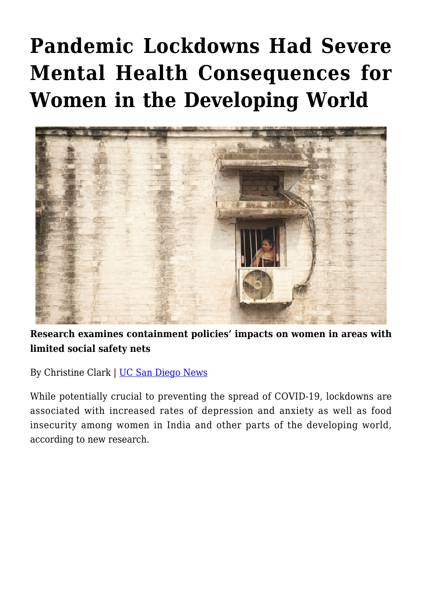## **[Pandemic Lockdowns Had Severe](https://gpsnews.ucsd.edu/pandemic-lockdowns-had-severe-mental-health-consequences-for-women-in-the-developing-world/) [Mental Health Consequences for](https://gpsnews.ucsd.edu/pandemic-lockdowns-had-severe-mental-health-consequences-for-women-in-the-developing-world/) [Women in the Developing World](https://gpsnews.ucsd.edu/pandemic-lockdowns-had-severe-mental-health-consequences-for-women-in-the-developing-world/)**



**Research examines containment policies' impacts on women in areas with limited social safety nets**

By Christine Clark | [UC San Diego News](https://ucsdnews.ucsd.edu/pressrelease/pandemic-lockdowns-had-severe-mental-health-consequences-for-women-in-the-developing-world)

While potentially crucial to preventing the spread of COVID-19, lockdowns are associated with increased rates of depression and anxiety as well as food insecurity among women in India and other parts of the developing world, according to new research.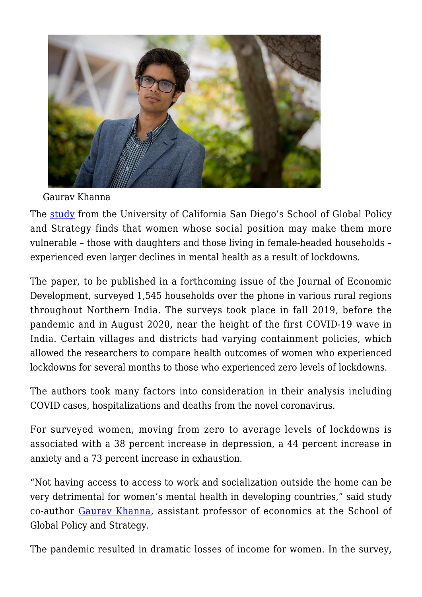

Gaurav Khanna

The [study](https://doi.org/10.1016/j.jdeveco.2022.102839) from the University of California San Diego's School of Global Policy and Strategy finds that women whose social position may make them more vulnerable – those with daughters and those living in female-headed households – experienced even larger declines in mental health as a result of lockdowns.

The paper, to be published in a forthcoming issue of the Journal of Economic Development, surveyed 1,545 households over the phone in various rural regions throughout Northern India. The surveys took place in fall 2019, before the pandemic and in August 2020, near the height of the first COVID-19 wave in India. Certain villages and districts had varying containment policies, which allowed the researchers to compare health outcomes of women who experienced lockdowns for several months to those who experienced zero levels of lockdowns.

The authors took many factors into consideration in their analysis including COVID cases, hospitalizations and deaths from the novel coronavirus.

For surveyed women, moving from zero to average levels of lockdowns is associated with a 38 percent increase in depression, a 44 percent increase in anxiety and a 73 percent increase in exhaustion.

"Not having access to access to work and socialization outside the home can be very detrimental for women's mental health in developing countries," said study co-author [Gaurav Khanna,](https://gps.ucsd.edu/faculty-directory/gaurav-khanna.html) assistant professor of economics at the School of Global Policy and Strategy.

The pandemic resulted in dramatic losses of income for women. In the survey,